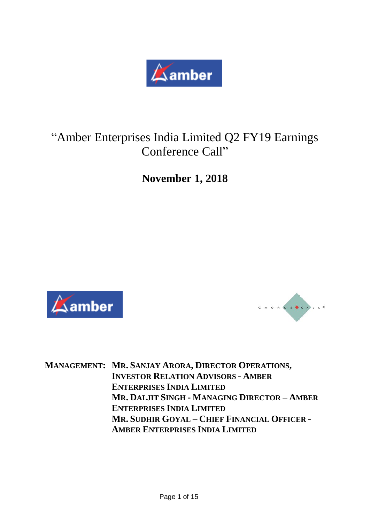

# "Amber Enterprises India Limited Q2 FY19 Earnings Conference Call"

**November 1, 2018**





**MANAGEMENT: MR. SANJAY ARORA, DIRECTOR OPERATIONS, INVESTOR RELATION ADVISORS - AMBER ENTERPRISES INDIA LIMITED MR. DALJIT SINGH - MANAGING DIRECTOR – AMBER ENTERPRISES INDIA LIMITED MR. SUDHIR GOYAL – CHIEF FINANCIAL OFFICER - AMBER ENTERPRISES INDIA LIMITED**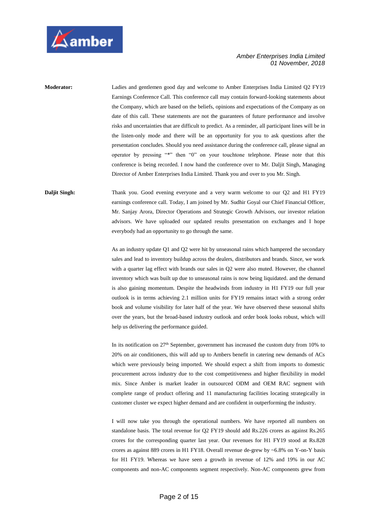

**Moderator:** Ladies and gentlemen good day and welcome to Amber Enterprises India Limited Q2 FY19 Earnings Conference Call. This conference call may contain forward-looking statements about the Company, which are based on the beliefs, opinions and expectations of the Company as on date of this call. These statements are not the guarantees of future performance and involve risks and uncertainties that are difficult to predict. As a reminder, all participant lines will be in the listen-only mode and there will be an opportunity for you to ask questions after the presentation concludes. Should you need assistance during the conference call, please signal an operator by pressing "\*" then "0" on your touchtone telephone. Please note that this conference is being recorded. I now hand the conference over to Mr. Daljit Singh, Managing Director of Amber Enterprises India Limited. Thank you and over to you Mr. Singh.

**Daljit Singh:** Thank you. Good evening everyone and a very warm welcome to our Q2 and H1 FY19 earnings conference call. Today, I am joined by Mr. Sudhir Goyal our Chief Financial Officer, Mr. Sanjay Arora, Director Operations and Strategic Growth Advisors, our investor relation advisors. We have uploaded our updated results presentation on exchanges and I hope everybody had an opportunity to go through the same.

> As an industry update Q1 and Q2 were hit by unseasonal rains which hampered the secondary sales and lead to inventory buildup across the dealers, distributors and brands. Since, we work with a quarter lag effect with brands our sales in Q2 were also muted. However, the channel inventory which was built up due to unseasonal rains is now being liquidated. and the demand is also gaining momentum. Despite the headwinds from industry in H1 FY19 our full year outlook is in terms achieving 2.1 million units for FY19 remains intact with a strong order book and volume visibility for later half of the year. We have observed these seasonal shifts over the years, but the broad-based industry outlook and order book looks robust, which will help us delivering the performance guided.

> In its notification on 27th September, government has increased the custom duty from 10% to 20% on air conditioners, this will add up to Ambers benefit in catering new demands of ACs which were previously being imported. We should expect a shift from imports to domestic procurement across industry due to the cost competitiveness and higher flexibility in model mix. Since Amber is market leader in outsourced ODM and OEM RAC segment with complete range of product offering and 11 manufacturing facilities locating strategically in customer cluster we expect higher demand and are confident in outperforming the industry.

> I will now take you through the operational numbers. We have reported all numbers on standalone basis. The total revenue for Q2 FY19 should add Rs.226 crores as against Rs.265 crores for the corresponding quarter last year. Our revenues for H1 FY19 stood at Rs.828 crores as against 889 crores in H1 FY18. Overall revenue de-grew by ~6.8% on Y-on-Y basis for H1 FY19. Whereas we have seen a growth in revenue of 12% and 19% in our AC components and non-AC components segment respectively. Non-AC components grew from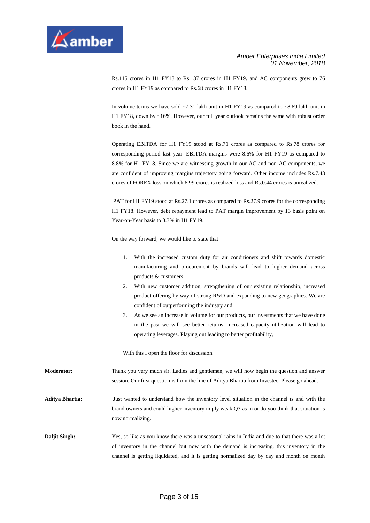

Rs.115 crores in H1 FY18 to Rs.137 crores in H1 FY19. and AC components grew to 76 crores in H1 FY19 as compared to Rs.68 crores in H1 FY18.

In volume terms we have sold  $\sim$ 7.31 lakh unit in H1 FY19 as compared to  $\sim$ 8.69 lakh unit in H1 FY18, down by ~16%. However, our full year outlook remains the same with robust order book in the hand.

Operating EBITDA for H1 FY19 stood at Rs.71 crores as compared to Rs.78 crores for corresponding period last year. EBITDA margins were 8.6% for H1 FY19 as compared to 8.8% for H1 FY18. Since we are witnessing growth in our AC and non-AC components, we are confident of improving margins trajectory going forward. Other income includes Rs.7.43 crores of FOREX loss on which 6.99 crores is realized loss and Rs.0.44 crores is unrealized.

PAT for H1 FY19 stood at Rs.27.1 crores as compared to Rs.27.9 crores for the corresponding H1 FY18. However, debt repayment lead to PAT margin improvement by 13 basis point on Year-on-Year basis to 3.3% in H1 FY19.

On the way forward, we would like to state that

- 1. With the increased custom duty for air conditioners and shift towards domestic manufacturing and procurement by brands will lead to higher demand across products & customers.
- 2. With new customer addition, strengthening of our existing relationship, increased product offering by way of strong R&D and expanding to new geographies. We are confident of outperforming the industry and
- 3. As we see an increase in volume for our products, our investments that we have done in the past we will see better returns, increased capacity utilization will lead to operating leverages. Playing out leading to better profitability,

With this I open the floor for discussion.

**Moderator:** Thank you very much sir. Ladies and gentlemen, we will now begin the question and answer session. Our first question is from the line of Aditya Bhartia from Investec. Please go ahead.

**Aditya Bhartia:** Just wanted to understand how the inventory level situation in the channel is and with the brand owners and could higher inventory imply weak Q3 as in or do you think that situation is now normalizing.

**Daljit Singh:** Yes, so like as you know there was a unseasonal rains in India and due to that there was a lot of inventory in the channel but now with the demand is increasing, this inventory in the channel is getting liquidated, and it is getting normalized day by day and month on month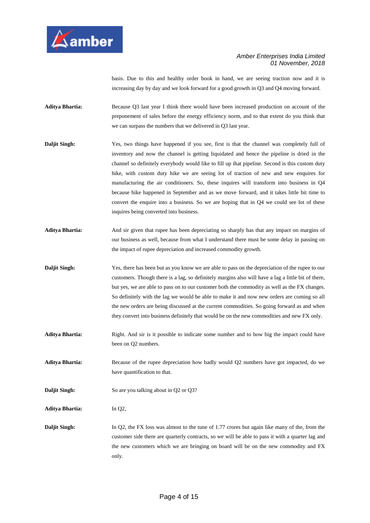

basis. Due to this and healthy order book in hand, we are seeing traction now and it is increasing day by day and we look forward for a good growth in Q3 and Q4 moving forward.

**Aditya Bhartia:** Because Q3 last year I think there would have been increased production on account of the preponement of sales before the energy efficiency norm, and to that extent do you think that we can surpass the numbers that we delivered in Q3 last year.

- **Daljit Singh:** Yes, two things have happened if you see, first is that the channel was completely full of inventory and now the channel is getting liquidated and hence the pipeline is dried in the channel so definitely everybody would like to fill up that pipeline. Second is this custom duty hike, with custom duty hike we are seeing lot of traction of new and new enquires for manufacturing the air conditioners. So, these inquires will transform into business in Q4 because hike happened in September and as we move forward, and it takes little bit time to convert the enquire into a business. So we are hoping that in Q4 we could see lot of these inquires being converted into business.
- **Aditya Bhartia:** And sir given that rupee has been depreciating so sharply has that any impact on margins of our business as well, because from what I understand there must be some delay in passing on the impact of rupee depreciation and increased commodity growth.
- **Daljit Singh:** Yes, there has been but as you know we are able to pass on the depreciation of the rupee to our customers. Though there is a lag, so definitely margins also will have a lag a little bit of there, but yes, we are able to pass on to our customer both the commodity as well as the FX changes. So definitely with the lag we would be able to make it and now new orders are coming so all the new orders are being discussed at the current commodities. So going forward as and when they convert into business definitely that would be on the new commodities and new FX only.
- **Aditya Bhartia:** Right. And sir is it possible to indicate some number and to how big the impact could have been on Q2 numbers.

**Aditya Bhartia:** Because of the rupee depreciation how badly would Q2 numbers have got impacted, do we have quantification to that.

- **Daljit Singh:** So are you talking about in Q2 or Q3?
- **Aditya Bhartia:** In Q2,

**Daljit Singh:** In Q2, the FX loss was almost to the tune of 1.77 crores but again like many of the, from the customer side there are quarterly contracts, so we will be able to pass it with a quarter lag and the new customers which we are bringing on board will be on the new commodity and FX only.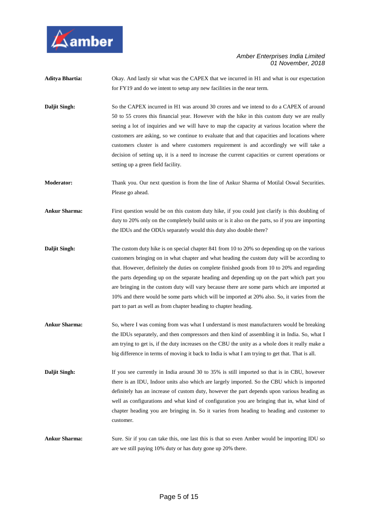

- **Aditya Bhartia:** Okay. And lastly sir what was the CAPEX that we incurred in H1 and what is our expectation for FY19 and do we intent to setup any new facilities in the near term.
- **Daljit Singh:** So the CAPEX incurred in H1 was around 30 crores and we intend to do a CAPEX of around 50 to 55 crores this financial year. However with the hike in this custom duty we are really seeing a lot of inquiries and we will have to map the capacity at various location where the customers are asking, so we continue to evaluate that and that capacities and locations where customers cluster is and where customers requirement is and accordingly we will take a decision of setting up, it is a need to increase the current capacities or current operations or setting up a green field facility.
- **Moderator:** Thank you. Our next question is from the line of Ankur Sharma of Motilal Oswal Securities. Please go ahead.
- **Ankur Sharma:** First question would be on this custom duty hike, if you could just clarify is this doubling of duty to 20% only on the completely build units or is it also on the parts, so if you are importing the IDUs and the ODUs separately would this duty also double there?
- **Daljit Singh:** The custom duty hike is on special chapter 841 from 10 to 20% so depending up on the various customers bringing on in what chapter and what heading the custom duty will be according to that. However, definitely the duties on complete finished goods from 10 to 20% and regarding the parts depending up on the separate heading and depending up on the part which part you are bringing in the custom duty will vary because there are some parts which are imported at 10% and there would be some parts which will be imported at 20% also. So, it varies from the part to part as well as from chapter heading to chapter heading.
- **Ankur Sharma:** So, where I was coming from was what I understand is most manufacturers would be breaking the IDUs separately, and then compressors and then kind of assembling it in India. So, what I am trying to get is, if the duty increases on the CBU the unity as a whole does it really make a big difference in terms of moving it back to India is what I am trying to get that. That is all.
- **Daljit Singh:** If you see currently in India around 30 to 35% is still imported so that is in CBU, however there is an IDU, Indoor units also which are largely imported. So the CBU which is imported definitely has an increase of custom duty, however the part depends upon various heading as well as configurations and what kind of configuration you are bringing that in, what kind of chapter heading you are bringing in. So it varies from heading to heading and customer to customer.
- **Ankur Sharma:** Sure. Sir if you can take this, one last this is that so even Amber would be importing IDU so are we still paying 10% duty or has duty gone up 20% there.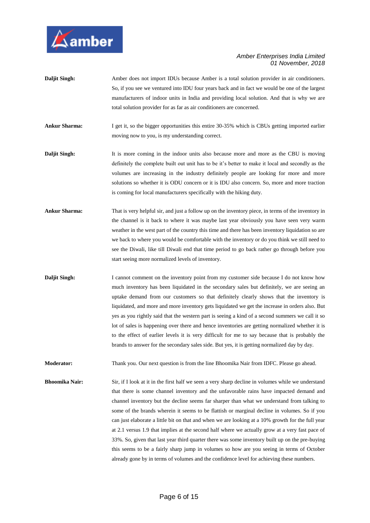

- **Daljit Singh:** Amber does not import IDUs because Amber is a total solution provider in air conditioners. So, if you see we ventured into IDU four years back and in fact we would be one of the largest manufacturers of indoor units in India and providing local solution. And that is why we are total solution provider for as far as air conditioners are concerned.
- **Ankur Sharma:** I get it, so the bigger opportunities this entire 30-35% which is CBUs getting imported earlier moving now to you, is my understanding correct.
- **Daljit Singh:** It is more coming in the indoor units also because more and more as the CBU is moving definitely the complete built out unit has to be it's better to make it local and secondly as the volumes are increasing in the industry definitely people are looking for more and more solutions so whether it is ODU concern or it is IDU also concern. So, more and more traction is coming for local manufacturers specifically with the hiking duty.
- **Ankur Sharma:** That is very helpful sir, and just a follow up on the inventory piece, in terms of the inventory in the channel is it back to where it was maybe last year obviously you have seen very warm weather in the west part of the country this time and there has been inventory liquidation so are we back to where you would be comfortable with the inventory or do you think we still need to see the Diwali, like till Diwali end that time period to go back rather go through before you start seeing more normalized levels of inventory.
- **Daljit Singh:** I cannot comment on the inventory point from my customer side because I do not know how much inventory has been liquidated in the secondary sales but definitely, we are seeing an uptake demand from our customers so that definitely clearly shows that the inventory is liquidated, and more and more inventory gets liquidated we get the increase in orders also. But yes as you rightly said that the western part is seeing a kind of a second summers we call it so lot of sales is happening over there and hence inventories are getting normalized whether it is to the effect of earlier levels it is very difficult for me to say because that is probably the brands to answer for the secondary sales side. But yes, it is getting normalized day by day.

**Moderator:** Thank you. Our next question is from the line Bhoomika Nair from IDFC. Please go ahead.

**Bhoomika Nair:** Sir, if I look at it in the first half we seen a very sharp decline in volumes while we understand that there is some channel inventory and the unfavorable rains have impacted demand and channel inventory but the decline seems far sharper than what we understand from talking to some of the brands wherein it seems to be flattish or marginal decline in volumes. So if you can just elaborate a little bit on that and when we are looking at a 10% growth for the full year at 2.1 versus 1.9 that implies at the second half where we actually grow at a very fast pace of 33%. So, given that last year third quarter there was some inventory built up on the pre-buying this seems to be a fairly sharp jump in volumes so how are you seeing in terms of October already gone by in terms of volumes and the confidence level for achieving these numbers.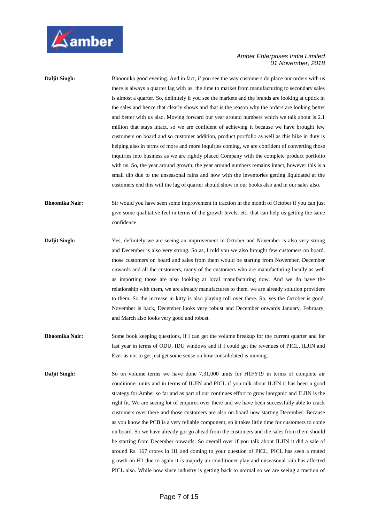

| <b>Daljit Singh:</b>  | Bhoomika good evening. And in fact, if you see the way customers do place our orders with us<br>there is always a quarter lag with us, the time to market from manufacturing to secondary sales<br>is almost a quarter. So, definitely if you see the markets and the brands are looking at uptick in<br>the sales and hence that clearly shows and that is the reason why the orders are looking better<br>and better with us also. Moving forward our year around numbers which we talk about is 2.1<br>million that stays intact, so we are confident of achieving it because we have brought few<br>customers on board and so customer addition, product portfolio as well as this hike in duty is<br>helping also in terms of more and more inquiries coming, we are confident of converting those<br>inquiries into business as we are rightly placed Company with the complete product portfolio<br>with us. So, the year around growth, the year around numbers remains intact, however this is a<br>small dip due to the unseasonal rains and now with the inventories getting liquidated at the<br>customers end this will the lag of quarter should show in our books also and in our sales also. |
|-----------------------|--------------------------------------------------------------------------------------------------------------------------------------------------------------------------------------------------------------------------------------------------------------------------------------------------------------------------------------------------------------------------------------------------------------------------------------------------------------------------------------------------------------------------------------------------------------------------------------------------------------------------------------------------------------------------------------------------------------------------------------------------------------------------------------------------------------------------------------------------------------------------------------------------------------------------------------------------------------------------------------------------------------------------------------------------------------------------------------------------------------------------------------------------------------------------------------------------------------|
| <b>Bhoomika Nair:</b> | Sir would you have seen some improvement in traction in the month of October if you can just<br>give some qualitative feel in terms of the growth levels, etc. that can help us getting the same<br>confidence.                                                                                                                                                                                                                                                                                                                                                                                                                                                                                                                                                                                                                                                                                                                                                                                                                                                                                                                                                                                              |
| Daljit Singh:         | Yes, definitely we are seeing an improvement in October and November is also very strong<br>and December is also very strong. So as, I told you we also brought few customers on board,<br>those customers on board and sales from them would be starting from November, December<br>onwards and all the customers, many of the customers who are manufacturing locally as well<br>as importing those are also looking at local manufacturing now. And we do have the<br>relationship with them, we are already manufactures to them, we are already solution providers<br>to them. So the increase in kitty is also playing roll over there. So, yes the October is good,<br>November is back, December looks very robust and December onwards January, February,<br>and March also looks very good and robust.                                                                                                                                                                                                                                                                                                                                                                                             |
| <b>Bhoomika Nair:</b> | Some book keeping questions, if I can get the volume breakup for the current quarter and for<br>last year in terms of ODU, IDU windows and if I could get the revenues of PICL, ILJIN and<br>Ever as not to get just get some sense on how consolidated is moving.                                                                                                                                                                                                                                                                                                                                                                                                                                                                                                                                                                                                                                                                                                                                                                                                                                                                                                                                           |
| Daljit Singh:         | So on volume terms we have done 7,31,000 units for H1FY19 in terms of complete air<br>conditioner units and in terms of ILJIN and PICL if you talk about ILJIN it has been a good<br>strategy for Amber so far and as part of our continues effort to grow inorganic and ILJIN is the<br>right fit. We are seeing lot of enquires over there and we have been successfully able to crack<br>customers over there and those customers are also on board now starting December. Because<br>as you know the PCB is a very reliable component, so it takes little time for customers to come<br>on board. So we have already got go ahead from the customers and the sales from them should                                                                                                                                                                                                                                                                                                                                                                                                                                                                                                                      |

be starting from December onwards. So overall over if you talk about ILJIN it did a sale of around Rs. 167 crores in H1 and coming to your question of PICL, PICL has seen a muted growth on H1 due to again it is majorly air conditioner play and unseasonal rain has affected PICL also. While now since industry is getting back to normal so we are seeing a traction of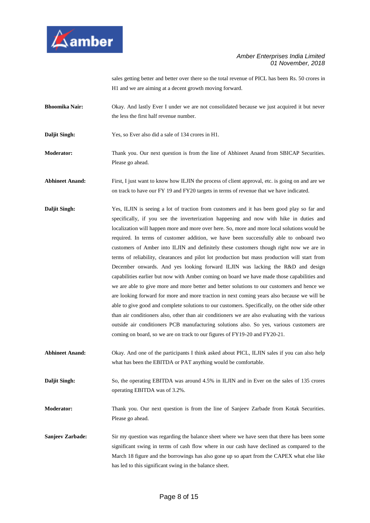

sales getting better and better over there so the total revenue of PICL has been Rs. 50 crores in H1 and we are aiming at a decent growth moving forward.

- **Bhoomika Nair:** Okay. And lastly Ever I under we are not consolidated because we just acquired it but never the less the first half revenue number.
- **Daljit Singh:** Yes, so Ever also did a sale of 134 crores in H1.
- **Moderator:** Thank you. Our next question is from the line of Abhineet Anand from SBICAP Securities. Please go ahead.

**Abhineet Anand:** First, I just want to know how ILJIN the process of client approval, etc. is going on and are we on track to have our FY 19 and FY20 targets in terms of revenue that we have indicated.

- **Daljit Singh:** Yes, ILJIN is seeing a lot of traction from customers and it has been good play so far and specifically, if you see the inverterization happening and now with hike in duties and localization will happen more and more over here. So, more and more local solutions would be required. In terms of customer addition, we have been successfully able to onboard two customers of Amber into ILJIN and definitely these customers though right now we are in terms of reliability, clearances and pilot lot production but mass production will start from December onwards. And yes looking forward ILJIN was lacking the R&D and design capabilities earlier but now with Amber coming on board we have made those capabilities and we are able to give more and more better and better solutions to our customers and hence we are looking forward for more and more traction in next coming years also because we will be able to give good and complete solutions to our customers. Specifically, on the other side other than air conditioners also, other than air conditioners we are also evaluating with the various outside air conditioners PCB manufacturing solutions also. So yes, various customers are coming on board, so we are on track to our figures of FY19-20 and FY20-21.
- **Abhineet Anand:** Okay. And one of the participants I think asked about PICL, ILJIN sales if you can also help what has been the EBITDA or PAT anything would be comfortable.

**Daljit Singh:** So, the operating EBITDA was around 4.5% in ILJIN and in Ever on the sales of 135 crores operating EBITDA was of 3.2%.

**Moderator:** Thank you. Our next question is from the line of Sanjeev Zarbade from Kotak Securities. Please go ahead.

**Sanjeev Zarbade:** Sir my question was regarding the balance sheet where we have seen that there has been some significant swing in terms of cash flow where in our cash have declined as compared to the March 18 figure and the borrowings has also gone up so apart from the CAPEX what else like has led to this significant swing in the balance sheet.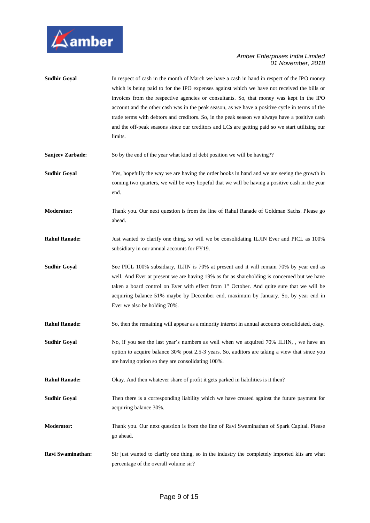

| <b>Sudhir Goyal</b>     | In respect of cash in the month of March we have a cash in hand in respect of the IPO money<br>which is being paid to for the IPO expenses against which we have not received the bills or<br>invoices from the respective agencies or consultants. So, that money was kept in the IPO<br>account and the other cash was in the peak season, as we have a positive cycle in terms of the<br>trade terms with debtors and creditors. So, in the peak season we always have a positive cash<br>and the off-peak seasons since our creditors and LCs are getting paid so we start utilizing our<br>limits. |
|-------------------------|---------------------------------------------------------------------------------------------------------------------------------------------------------------------------------------------------------------------------------------------------------------------------------------------------------------------------------------------------------------------------------------------------------------------------------------------------------------------------------------------------------------------------------------------------------------------------------------------------------|
| <b>Sanjeev Zarbade:</b> | So by the end of the year what kind of debt position we will be having??                                                                                                                                                                                                                                                                                                                                                                                                                                                                                                                                |
| <b>Sudhir Goyal</b>     | Yes, hopefully the way we are having the order books in hand and we are seeing the growth in<br>coming two quarters, we will be very hopeful that we will be having a positive cash in the year<br>end.                                                                                                                                                                                                                                                                                                                                                                                                 |
| <b>Moderator:</b>       | Thank you. Our next question is from the line of Rahul Ranade of Goldman Sachs. Please go<br>ahead.                                                                                                                                                                                                                                                                                                                                                                                                                                                                                                     |
| <b>Rahul Ranade:</b>    | Just wanted to clarify one thing, so will we be consolidating ILJIN Ever and PICL as 100%<br>subsidiary in our annual accounts for FY19.                                                                                                                                                                                                                                                                                                                                                                                                                                                                |
| <b>Sudhir Goyal</b>     | See PICL 100% subsidiary, ILJIN is 70% at present and it will remain 70% by year end as<br>well. And Ever at present we are having 19% as far as shareholding is concerned but we have<br>taken a board control on Ever with effect from 1 <sup>st</sup> October. And quite sure that we will be<br>acquiring balance 51% maybe by December end, maximum by January. So, by year end in<br>Ever we also be holding 70%.                                                                                                                                                                                 |
| <b>Rahul Ranade:</b>    | So, then the remaining will appear as a minority interest in annual accounts consolidated, okay.                                                                                                                                                                                                                                                                                                                                                                                                                                                                                                        |
| <b>Sudhir Goyal</b>     | No, if you see the last year's numbers as well when we acquired 70% ILJIN, , we have an<br>option to acquire balance 30% post 2.5-3 years. So, auditors are taking a view that since you<br>are having option so they are consolidating 100%.                                                                                                                                                                                                                                                                                                                                                           |
| <b>Rahul Ranade:</b>    | Okay. And then whatever share of profit it gets parked in liabilities is it then?                                                                                                                                                                                                                                                                                                                                                                                                                                                                                                                       |
| <b>Sudhir Goyal</b>     | Then there is a corresponding liability which we have created against the future payment for<br>acquiring balance 30%.                                                                                                                                                                                                                                                                                                                                                                                                                                                                                  |
| <b>Moderator:</b>       | Thank you. Our next question is from the line of Ravi Swaminathan of Spark Capital. Please<br>go ahead.                                                                                                                                                                                                                                                                                                                                                                                                                                                                                                 |
| Ravi Swaminathan:       | Sir just wanted to clarify one thing, so in the industry the completely imported kits are what<br>percentage of the overall volume sir?                                                                                                                                                                                                                                                                                                                                                                                                                                                                 |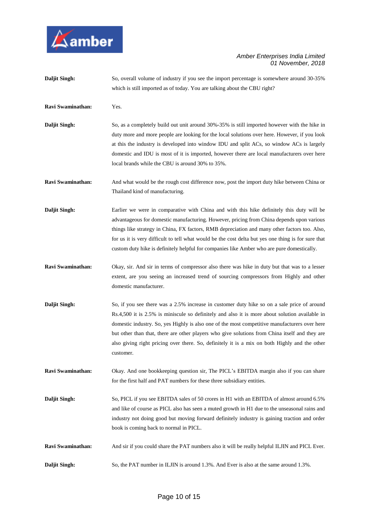

| Daljit Singh:        | So, overall volume of industry if you see the import percentage is somewhere around 30-35%<br>which is still imported as of today. You are talking about the CBU right?                                                                                                                                                                                                                                                                                                                                        |
|----------------------|----------------------------------------------------------------------------------------------------------------------------------------------------------------------------------------------------------------------------------------------------------------------------------------------------------------------------------------------------------------------------------------------------------------------------------------------------------------------------------------------------------------|
| Ravi Swaminathan:    | Yes.                                                                                                                                                                                                                                                                                                                                                                                                                                                                                                           |
| Daljit Singh:        | So, as a completely build out unit around 30%-35% is still imported however with the hike in<br>duty more and more people are looking for the local solutions over here. However, if you look<br>at this the industry is developed into window IDU and split ACs, so window ACs is largely<br>domestic and IDU is most of it is imported, however there are local manufacturers over here<br>local brands while the CBU is around 30% to 35%.                                                                  |
| Ravi Swaminathan:    | And what would be the rough cost difference now, post the import duty hike between China or<br>Thailand kind of manufacturing.                                                                                                                                                                                                                                                                                                                                                                                 |
| <b>Daljit Singh:</b> | Earlier we were in comparative with China and with this hike definitely this duty will be<br>advantageous for domestic manufacturing. However, pricing from China depends upon various<br>things like strategy in China, FX factors, RMB depreciation and many other factors too. Also,<br>for us it is very difficult to tell what would be the cost delta but yes one thing is for sure that<br>custom duty hike is definitely helpful for companies like Amber who are pure domestically.                   |
| Ravi Swaminathan:    | Okay, sir. And sir in terms of compressor also there was hike in duty but that was to a lesser<br>extent, are you seeing an increased trend of sourcing compressors from Highly and other<br>domestic manufacturer.                                                                                                                                                                                                                                                                                            |
| Daljit Singh:        | So, if you see there was a 2.5% increase in customer duty hike so on a sale price of around<br>Rs.4,500 it is 2.5% is miniscule so definitely and also it is more about solution available in<br>domestic industry. So, yes Highly is also one of the most competitive manufacturers over here<br>but other than that, there are other players who give solutions from China itself and they are<br>also giving right pricing over there. So, definitely it is a mix on both Highly and the other<br>customer. |
| Ravi Swaminathan:    | Okay. And one bookkeeping question sir, The PICL's EBITDA margin also if you can share<br>for the first half and PAT numbers for these three subsidiary entities.                                                                                                                                                                                                                                                                                                                                              |
| Daljit Singh:        | So, PICL if you see EBITDA sales of 50 crores in H1 with an EBITDA of almost around 6.5%<br>and like of course as PICL also has seen a muted growth in H1 due to the unseasonal rains and<br>industry not doing good but moving forward definitely industry is gaining traction and order<br>book is coming back to normal in PICL.                                                                                                                                                                            |
| Ravi Swaminathan:    | And sir if you could share the PAT numbers also it will be really helpful ILJIN and PICL Ever.                                                                                                                                                                                                                                                                                                                                                                                                                 |
| Daljit Singh:        | So, the PAT number in ILJIN is around 1.3%. And Ever is also at the same around 1.3%.                                                                                                                                                                                                                                                                                                                                                                                                                          |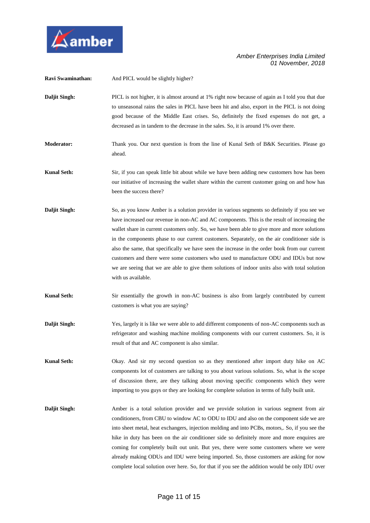

| Ravi Swaminathan:  | And PICL would be slightly higher?                                                                                                                                                                                                                                                                                                                                                                                                                                                                                                                                                                                                                                                                             |
|--------------------|----------------------------------------------------------------------------------------------------------------------------------------------------------------------------------------------------------------------------------------------------------------------------------------------------------------------------------------------------------------------------------------------------------------------------------------------------------------------------------------------------------------------------------------------------------------------------------------------------------------------------------------------------------------------------------------------------------------|
| Daljit Singh:      | PICL is not higher, it is almost around at 1% right now because of again as I told you that due<br>to unseasonal rains the sales in PICL have been hit and also, export in the PICL is not doing<br>good because of the Middle East crises. So, definitely the fixed expenses do not get, a<br>decreased as in tandem to the decrease in the sales. So, it is around 1% over there.                                                                                                                                                                                                                                                                                                                            |
| <b>Moderator:</b>  | Thank you. Our next question is from the line of Kunal Seth of B&K Securities. Please go<br>ahead.                                                                                                                                                                                                                                                                                                                                                                                                                                                                                                                                                                                                             |
| <b>Kunal Seth:</b> | Sir, if you can speak little bit about while we have been adding new customers how has been<br>our initiative of increasing the wallet share within the current customer going on and how has<br>been the success there?                                                                                                                                                                                                                                                                                                                                                                                                                                                                                       |
| Daljit Singh:      | So, as you know Amber is a solution provider in various segments so definitely if you see we<br>have increased our revenue in non-AC and AC components. This is the result of increasing the<br>wallet share in current customers only. So, we have been able to give more and more solutions<br>in the components phase to our current customers. Separately, on the air conditioner side is<br>also the same, that specifically we have seen the increase in the order book from our current<br>customers and there were some customers who used to manufacture ODU and IDUs but now<br>we are seeing that we are able to give them solutions of indoor units also with total solution<br>with us available. |
| <b>Kunal Seth:</b> | Sir essentially the growth in non-AC business is also from largely contributed by current<br>customers is what you are saying?                                                                                                                                                                                                                                                                                                                                                                                                                                                                                                                                                                                 |
| Daljit Singh:      | Yes, largely it is like we were able to add different components of non-AC components such as<br>refrigerator and washing machine molding components with our current customers. So, it is<br>result of that and AC component is also similar.                                                                                                                                                                                                                                                                                                                                                                                                                                                                 |
| <b>Kunal Seth:</b> | Okay. And sir my second question so as they mentioned after import duty hike on AC<br>components lot of customers are talking to you about various solutions. So, what is the scope<br>of discussion there, are they talking about moving specific components which they were<br>importing to you guys or they are looking for complete solution in terms of fully built unit.                                                                                                                                                                                                                                                                                                                                 |
| Daljit Singh:      | Amber is a total solution provider and we provide solution in various segment from air<br>conditioners, from CBU to window AC to ODU to IDU and also on the component side we are<br>into sheet metal, heat exchangers, injection molding and into PCBs, motors,. So, if you see the<br>hike in duty has been on the air conditioner side so definitely more and more enquires are<br>coming for completely built out unit. But yes, there were some customers where we were<br>already making ODUs and IDU were being imported. So, those customers are asking for now<br>complete local solution over here. So, for that if you see the addition would be only IDU over                                      |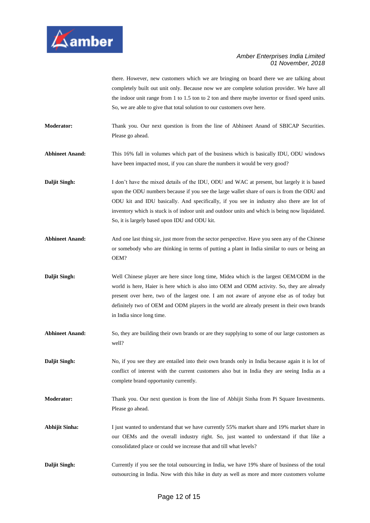

there. However, new customers which we are bringing on board there we are talking about completely built out unit only. Because now we are complete solution provider. We have all the indoor unit range from 1 to 1.5 ton to 2 ton and there maybe invertor or fixed speed units. So, we are able to give that total solution to our customers over here.

**Moderator:** Thank you. Our next question is from the line of Abhineet Anand of SBICAP Securities. Please go ahead.

**Abhineet Anand:** This 16% fall in volumes which part of the business which is basically IDU, ODU windows have been impacted most, if you can share the numbers it would be very good?

**Daljit Singh:** I don't have the mixed details of the IDU, ODU and WAC at present, but largely it is based upon the ODU numbers because if you see the large wallet share of ours is from the ODU and ODU kit and IDU basically. And specifically, if you see in industry also there are lot of inventory which is stuck is of indoor unit and outdoor units and which is being now liquidated. So, it is largely based upon IDU and ODU kit.

Abhineet Anand: And one last thing sir, just more from the sector perspective. Have you seen any of the Chinese or somebody who are thinking in terms of putting a plant in India similar to ours or being an OEM?

**Daljit Singh:** Well Chinese player are here since long time, Midea which is the largest OEM/ODM in the world is here, Haier is here which is also into OEM and ODM activity. So, they are already present over here, two of the largest one. I am not aware of anyone else as of today but definitely two of OEM and ODM players in the world are already present in their own brands in India since long time.

Abhineet Anand: So, they are building their own brands or are they supplying to some of our large customers as well?

**Daljit Singh:** No, if you see they are entailed into their own brands only in India because again it is lot of conflict of interest with the current customers also but in India they are seeing India as a complete brand opportunity currently.

**Moderator:** Thank you. Our next question is from the line of Abhijit Sinha from Pi Square Investments. Please go ahead.

**Abhijit Sinha:** I just wanted to understand that we have currently 55% market share and 19% market share in our OEMs and the overall industry right. So, just wanted to understand if that like a consolidated place or could we increase that and till what levels?

**Daljit Singh:** Currently if you see the total outsourcing in India, we have 19% share of business of the total outsourcing in India. Now with this hike in duty as well as more and more customers volume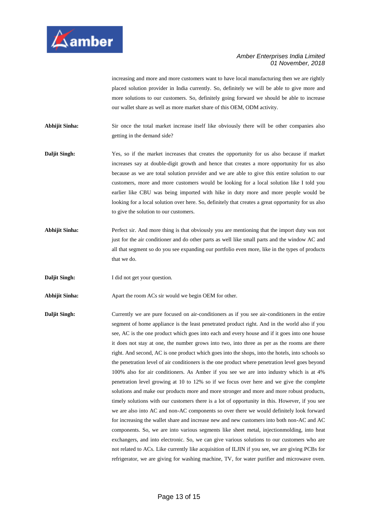

increasing and more and more customers want to have local manufacturing then we are rightly placed solution provider in India currently. So, definitely we will be able to give more and more solutions to our customers. So, definitely going forward we should be able to increase our wallet share as well as more market share of this OEM, ODM activity.

**Abhijit Sinha:** Sir once the total market increase itself like obviously there will be other companies also getting in the demand side?

- **Daljit Singh:** Yes, so if the market increases that creates the opportunity for us also because if market increases say at double-digit growth and hence that creates a more opportunity for us also because as we are total solution provider and we are able to give this entire solution to our customers, more and more customers would be looking for a local solution like I told you earlier like CBU was being imported with hike in duty more and more people would be looking for a local solution over here. So, definitely that creates a great opportunity for us also to give the solution to our customers.
- **Abhijit Sinha:** Perfect sir. And more thing is that obviously you are mentioning that the import duty was not just for the air conditioner and do other parts as well like small parts and the window AC and all that segment so do you see expanding our portfolio even more, like in the types of products that we do.
- **Daljit Singh:** I did not get your question.

Abhijit Sinha: Apart the room ACs sir would we begin OEM for other.

**Daljit Singh:** Currently we are pure focused on air-conditioners as if you see air-conditioners in the entire segment of home appliance is the least penetrated product right. And in the world also if you see, AC is the one product which goes into each and every house and if it goes into one house it does not stay at one, the number grows into two, into three as per as the rooms are there right. And second, AC is one product which goes into the shops, into the hotels, into schools so the penetration level of air conditioners is the one product where penetration level goes beyond 100% also for air conditioners. As Amber if you see we are into industry which is at 4% penetration level growing at 10 to 12% so if we focus over here and we give the complete solutions and make our products more and more stronger and more and more robust products, timely solutions with our customers there is a lot of opportunity in this. However, if you see we are also into AC and non-AC components so over there we would definitely look forward for increasing the wallet share and increase new and new customers into both non-AC and AC components. So, we are into various segments like sheet metal, injectionmolding, into heat exchangers, and into electronic. So, we can give various solutions to our customers who are not related to ACs. Like currently like acquisition of ILJIN if you see, we are giving PCBs for refrigerator, we are giving for washing machine, TV, for water purifier and microwave oven.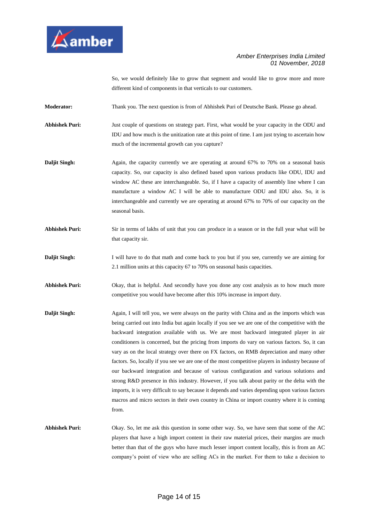

So, we would definitely like to grow that segment and would like to grow more and more different kind of components in that verticals to our customers.

**Moderator:** Thank you. The next question is from of Abhishek Puri of Deutsche Bank. Please go ahead.

**Abhishek Puri:** Just couple of questions on strategy part. First, what would be your capacity in the ODU and IDU and how much is the unitization rate at this point of time. I am just trying to ascertain how much of the incremental growth can you capture?

- **Daljit Singh:** Again, the capacity currently we are operating at around 67% to 70% on a seasonal basis capacity. So, our capacity is also defined based upon various products like ODU, IDU and window AC these are interchangeable. So, if I have a capacity of assembly line where I can manufacture a window AC I will be able to manufacture ODU and IDU also. So, it is interchangeable and currently we are operating at around 67% to 70% of our capacity on the seasonal basis.
- **Abhishek Puri:** Sir in terms of lakhs of unit that you can produce in a season or in the full year what will be that capacity sir.
- **Daljit Singh:** I will have to do that math and come back to you but if you see, currently we are aiming for 2.1 million units at this capacity 67 to 70% on seasonal basis capacities.
- Abhishek Puri: Okay, that is helpful. And secondly have you done any cost analysis as to how much more competitive you would have become after this 10% increase in import duty.
- **Daljit Singh:** Again, I will tell you, we were always on the parity with China and as the imports which was being carried out into India but again locally if you see we are one of the competitive with the backward integration available with us. We are most backward integrated player in air conditioners is concerned, but the pricing from imports do vary on various factors. So, it can vary as on the local strategy over there on FX factors, on RMB depreciation and many other factors. So, locally if you see we are one of the most competitive players in industry because of our backward integration and because of various configuration and various solutions and strong R&D presence in this industry. However, if you talk about parity or the delta with the imports, it is very difficult to say because it depends and varies depending upon various factors macros and micro sectors in their own country in China or import country where it is coming from.
- **Abhishek Puri:** Okay. So, let me ask this question in some other way. So, we have seen that some of the AC players that have a high import content in their raw material prices, their margins are much better than that of the guys who have much lesser import content locally, this is from an AC company's point of view who are selling ACs in the market. For them to take a decision to